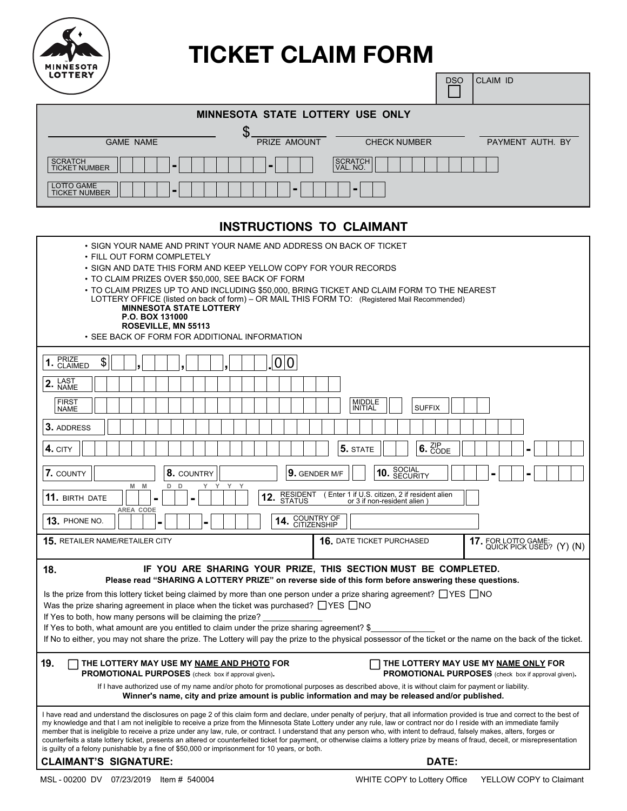

# **TICKET CLAIM FORM**

п

| -- - - - - -                           |                | <b>DSO</b>          | <b>ICLAIM ID</b> |
|----------------------------------------|----------------|---------------------|------------------|
| MINNESOTA STATE LOTTERY USE ONLY       |                |                     |                  |
| <b>GAME NAME</b>                       | PRIZE AMOUNT   | <b>CHECK NUMBER</b> | PAYMENT AUTH. BY |
| <b>SCRATCH</b><br><b>TICKET NUMBER</b> |                | SCRATCH<br>VAL. NO. |                  |
| LOTTO GAME<br><b>TICKET NUMBER</b>     | $\blacksquare$ | -                   |                  |

# **INSTRUCTIONS TO CLAIMANT**

| • SIGN YOUR NAME AND PRINT YOUR NAME AND ADDRESS ON BACK OF TICKET<br>• FILL OUT FORM COMPLETELY<br>• SIGN AND DATE THIS FORM AND KEEP YELLOW COPY FOR YOUR RECORDS<br>• TO CLAIM PRIZES OVER \$50,000, SEE BACK OF FORM<br>• TO CLAIM PRIZES UP TO AND INCLUDING \$50,000, BRING TICKET AND CLAIM FORM TO THE NEAREST<br>LOTTERY OFFICE (listed on back of form) – OR MAIL THIS FORM TO: (Registered Mail Recommended)<br><b>MINNESOTA STATE LOTTERY</b><br>P.O. BOX 131000<br>ROSEVILLE, MN 55113<br>• SEE BACK OF FORM FOR ADDITIONAL INFORMATION                                                                                                                                                                                                                                                                                                                  |  |  |  |
|-----------------------------------------------------------------------------------------------------------------------------------------------------------------------------------------------------------------------------------------------------------------------------------------------------------------------------------------------------------------------------------------------------------------------------------------------------------------------------------------------------------------------------------------------------------------------------------------------------------------------------------------------------------------------------------------------------------------------------------------------------------------------------------------------------------------------------------------------------------------------|--|--|--|
| 1. PRIZE<br>1. CLAIMED<br>\$<br>0 0                                                                                                                                                                                                                                                                                                                                                                                                                                                                                                                                                                                                                                                                                                                                                                                                                                   |  |  |  |
| 2. LAST                                                                                                                                                                                                                                                                                                                                                                                                                                                                                                                                                                                                                                                                                                                                                                                                                                                               |  |  |  |
| <b>FIRST</b><br><b>MIDDLE</b><br><b>SUFFIX</b><br><b>INITIAL</b><br><b>NAME</b>                                                                                                                                                                                                                                                                                                                                                                                                                                                                                                                                                                                                                                                                                                                                                                                       |  |  |  |
| 3. ADDRESS                                                                                                                                                                                                                                                                                                                                                                                                                                                                                                                                                                                                                                                                                                                                                                                                                                                            |  |  |  |
| $6.$ $\frac{\text{ZIP}}{\text{CODE}}$<br>4. CITY<br>5. STATE                                                                                                                                                                                                                                                                                                                                                                                                                                                                                                                                                                                                                                                                                                                                                                                                          |  |  |  |
| 10. SOCIAL<br>10. SECURITY<br>7. COUNTY<br>8. COUNTRY<br>9. GENDER M/F<br>Y<br>M<br>M<br>D<br>Y<br>D                                                                                                                                                                                                                                                                                                                                                                                                                                                                                                                                                                                                                                                                                                                                                                  |  |  |  |
| RESIDENT (Enter 1 if U.S. citizen, 2 if resident alien<br>STATUS or 3 if non-resident alien )<br>11. BIRTH DATE<br>12.<br>or 3 if non-resident alien)<br>AREA CODE                                                                                                                                                                                                                                                                                                                                                                                                                                                                                                                                                                                                                                                                                                    |  |  |  |
| COUNTRY OF<br>CITIZENSHIP<br>13. PHONE NO.<br>14.                                                                                                                                                                                                                                                                                                                                                                                                                                                                                                                                                                                                                                                                                                                                                                                                                     |  |  |  |
| 15. RETAILER NAME/RETAILER CITY<br><b>16. DATE TICKET PURCHASED</b><br>17. FOR LOTTO GAME: QUICK PICK USED? (Y) (N)                                                                                                                                                                                                                                                                                                                                                                                                                                                                                                                                                                                                                                                                                                                                                   |  |  |  |
| 18.<br>IF YOU ARE SHARING YOUR PRIZE, THIS SECTION MUST BE COMPLETED.<br>Please read "SHARING A LOTTERY PRIZE" on reverse side of this form before answering these questions.<br>Is the prize from this lottery ticket being claimed by more than one person under a prize sharing agreement? $\Box$ YES $\Box$ NO<br>Was the prize sharing agreement in place when the ticket was purchased? $\Box$ YES $\Box$ NO<br>If Yes to both, how many persons will be claiming the prize?<br>If Yes to both, what amount are you entitled to claim under the prize sharing agreement? \$<br>If No to either, you may not share the prize. The Lottery will pay the prize to the physical possessor of the ticket or the name on the back of the ticket.                                                                                                                      |  |  |  |
| 19.<br>THE LOTTERY MAY USE MY NAME AND PHOTO FOR<br>THE LOTTERY MAY USE MY NAME ONLY FOR<br><b>PROMOTIONAL PURPOSES</b> (check box if approval given).<br><b>PROMOTIONAL PURPOSES</b> (check box if approval given).<br>If I have authorized use of my name and/or photo for promotional purposes as described above, it is without claim for payment or liability.<br>Winner's name, city and prize amount is public information and may be released and/or published.                                                                                                                                                                                                                                                                                                                                                                                               |  |  |  |
| I have read and understand the disclosures on page 2 of this claim form and declare, under penalty of perjury, that all information provided is true and correct to the best of<br>my knowledge and that I am not ineligible to receive a prize from the Minnesota State Lottery under any rule, law or contract nor do I reside with an immediate family<br>member that is ineligible to receive a prize under any law, rule, or contract. I understand that any person who, with intent to defraud, falsely makes, alters, forges or<br>counterfeits a state lottery ticket, presents an altered or counterfeited ticket for payment, or otherwise claims a lottery prize by means of fraud, deceit, or misrepresentation<br>is guilty of a felony punishable by a fine of \$50,000 or imprisonment for 10 years, or both.<br><b>CLAIMANT'S SIGNATURE:</b><br>DATE: |  |  |  |
|                                                                                                                                                                                                                                                                                                                                                                                                                                                                                                                                                                                                                                                                                                                                                                                                                                                                       |  |  |  |